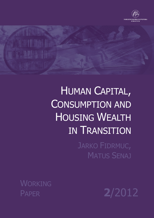

# HUMAN CAPITAL, CONSUMPTION AND HOUSING WEALTH IN TRANSITION

JARKO FIDRMUC, MATUS SENAJ

WORKING

PAPER **2**/2012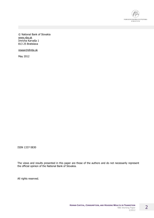

© National Bank of Slovakia [www.nbs.sk](http://www.nbs.sk) Imricha Karvaša 1 813 25 Bratislava

[research@nbs.sk](mailto:research@nbs.sk)

May 2012

ISSN 1337-5830

The views and results presented in this paper are those of the authors and do not necessarily represent the official opinion of the National Bank of Slovakia.

All rights reserved.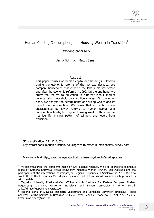

### Human Capital, Consumption, and Housing Wealth in Transition $<sup>1</sup>$ </sup>

Working paper NBS

Jarko Fidrmuc<sup>2</sup>, Matus Senaj<sup>3</sup>

### Abstract

This paper focuses on human capital and housing in Slovakia during the economic reforms of the last two decades. We compare households that entered the labour market before and after the economic reforms in 1990. On the one hand, we study the returns to education in different labour market cohorts using household consumption surveys. On the other hand, we analyse the determinants of housing wealth and its impact on consumption. We show that old cohorts are characterised by lower returns to human capital and consumption levels, but higher housing wealth. Thus, we do not identify a clear pattern of winners and losers from transition.

JEL classification: C31, D12, J24 Key words: consumption function, housing wealth effect, human capital, survey data

Downloadable at<http://www.nbs.sk/en/publications-issued-by-the-nbs/working-papers>

-

 $1$  We benefited from the comments made by two external referees. We also appreciate comments made by Katarína Kotovová, Marek Radvanský, Menbere Workie Tiruneh, Ken Iwatsubo and the participants of the international conference on Regional Disparities in Smolenice in 2010. We also would like to thank František Cár, Vladimír Čičmanec and Helena Súkeníková who kindly provided us with the data.

<sup>&</sup>lt;sup>2</sup> Zeppelin University Friedrichshafen, CESifo Munich, Institute for Eastern European Studies, Regensburg, Comenius University Bratislava, and Mendel University in Brno. E-mail: [jarko.fidrmuc@zeppelin-university.de](mailto:jarko.fidrmuc@zeppelin-university.de).

National Bank of Slovakia, Research Department and Comenius University, Bratislava. Postal address: Imricha Karvasa 1, Bratislava 813 25, Slovak Republic. Phone no. : +421 2 5787 2935. Email: [matus.senaj@nbs.sk](mailto:matus.senaj@nbs.sk).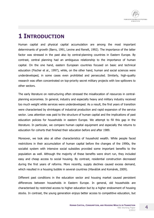# **1 INTRODUCTION**

Human capital and physical capital accumulation are among the most important determinants of growth (Barro, 1991, Levine and Renelt, 1992). The importance of the latter factor was stressed in the past also by central-planning countries in Eastern Europe. By contrast, central planning had an ambiguous relationship to the importance of human capital. On the one hand, eastern European countries focused on basic and technical education (Fischer et al., 1997), while, on the other hand, human and social sciences were underdeveloped, in some cases even prohibited and persecuted. Similarly, high-quality research was often concentrated on top-priority secret military projects with low spillovers to other sectors.

The early literature on restructuring often stressed the misallocation of resources in centralplanning economies. In general, industry and especially heavy and military industry received too much weight while services were underdeveloped. As a result, the first years of transition were characterised by shrinkages of industrial production and rapid expansion of the service sector. Less attention was paid to the structure of human capital and the implications of past education policies for households in eastern Europe. We attempt to fill this gap in the literature. In particular, we compare human capital equipment and especially the returns to education for cohorts that finished their education before and after 1989.

Moreover, we look also at other characteristics of household wealth. While people faced restrictions in their accumulation of human capital before the changes of the 1990s, the socialist system with intensive social subsidies provided some important benefits to the population as well. Although the majority of these benefits were short run, they included easy and cheap access to social housing. By contrast, residential construction decreased during the first years of reforms. More recently, supply declines caused excess demand, which resulted in a housing bubble in several countries (Hlaváček and Komárek, 2009).

Different past conditions in the education sector and housing market caused persistent differences between households in Eastern Europe. In general, old households are characterised by restricted access to higher education but by a higher endowment of housing stocks. In contrast, the young generation enjoys better access to competitive education, but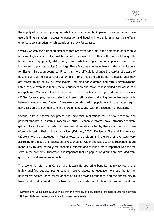the supply of housing to young households is constrained by imperfect housing markets. We use this time variation in access to education and housing in order to estimate their effects on private consumption, which stands as a proxy for welfare.

Overall, we can see a tradeoff similar to that observed for firms in the first stage of economic reforms. High investment of old households is associated with insufficient and low-quality human capital equipment, while young households have higher human capital equipment but low access to physical capital (housing). These features may have two long-term implications for Eastern European countries. First, it is more difficult to change the capital structure of households than to support restructuring of firms. People often do not re-qualify until they are forced to do so by extreme events, including for example long-term unemployment. Often people even lose their previous qualification and move to less skilled and worse paid occupations.<sup>4</sup> Moreover, it is hard to acquire specific skills in older age. Fidrmuc and Fidrmuc (2009), for example, demonstrate that there is still a strong dividing line in language skills between Western and Eastern European countries, with populations in the latter region being less able to communicate in all foreign languages (with the exception of Russian).

Second, different factor equipment has important implications for political economy and political stability in Eastern European countries. Economic reforms have introduced welfare gains but also losses. Households have been diversely affected by these changes, which are often reflected in their political behaviour (Fidrmuc, 2000). Denisova, Eller and Zhuravskaya (2010) show that attitudes in Russia towards transition and the role of the state vary according to the age and education of respondents. Older and less educated respondents are more likely to view critically the economic reforms and favour a more important role for the state in the economy. Therefore, it is important that no population groups are excluded from growth and welfare improvements.

The economic reforms in Central and Eastern Europe bring benefits mainly to young and highly qualified people. Young cohorts receive access to education without the former political restrictions, open career opportunities in growing economies, and the opportunity to travel and work abroad. In contrast, old households had to bear the welfare costs of

<sup>&</sup>lt;sup>4</sup> Campos and Dabušinkas (2009) show that the majority of occupational changes in Estonia between 1990 and 1994 was towards sectors with lower wage levels.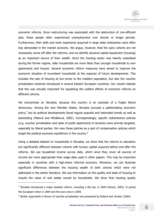

economic reforms. Since restructuring was associated with the destruction of non-efficient jobs, these people often experienced unemployment over shorter or longer periods. Furthermore, their skills and work experience acquired in large state enterprises were often less demanded in the market economy. We argue, however, that the early cohorts are not necessarily worse off after the reforms, and we identify physical capital equipment (housing) as an important source of their wealth. Since the housing sector was heavily subsidised during the former regime, older households are more likely than younger households to own apartments and houses. Several economic reform measures have aimed to improve the economic situation of incumbent households at the expense of future developments. This includes the sale of housing at low prices to the resident population, but also the voucher privatisation schemes introduced in several Eastern European countries. Our results indicate that this was actually important for equalising the welfare effects of economic reforms on different cohorts.

We concentrate on Slovakia, because this country is an example of a fragile liberal democracy. Among the new Member States, Slovakia pursued a pathbreaking economic policy,<sup>5</sup> but its political developments faced regular populist and nationalist trends as well as backsliding (Malová and Miháliková, 2002). Correspondingly, specific redistributive policies (e.g. voucher privatisation and sales of public apartments to tenants) were actively targeted, especially by liberal parties. We view these policies as a part of compensation policies which target the political economy equilibrium in the country.<sup>6</sup>

Using a detailed dataset on households in Slovakia, we show that the returns to education are significantly different between cohorts with human capital acquired before and after the reforms. We use household income survey data, which since they cover all sources of income are more appropriate than wage data used in other papers. This may be important especially in countries with a high-share informal economy. Moreover, we can illustrate significant differences between the housing wealth of both cohorts which were not addressed in the earlier literature. We use information on the quality and state of housing to impute the value of real estate owned by households. We show that housing quality

<sup>&</sup>lt;sup>5</sup> Slovakia introduced a major taxation reform, including a flat tax, in 2004 (Moore, 2005). It joined the European Union in 2004 and the euro area in 2009.

 $6$  Similar arguments in favour of voucher privatisation are presented by Roland and Verdier (1994).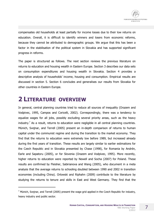

compensates old households at least partially for income losses due to their low returns on education. Overall, it is difficult to identify winners and losers from economic reforms, because they cannot be attributed to demographic groups. We argue that this has been a factor in the stabilisation of the political system in Slovakia and has supported significant progress in reforms.

The paper is structured as follows. The next section reviews the previous literature on returns to education and housing wealth in Eastern Europe. Section 3 describes our data sets on consumption expenditures and housing wealth in Slovakia. Section 4 provides a descriptive analysis of households' income, housing and consumption. Empirical results are discussed in section 5. Section 6 concludes and generalises our results from Slovakia for other countries in Eastern Europe.

# **2 LITERATURE OVERVIEW**

j

In general, central planning countries tried to reduce all sources of inequality (Orazem and Vodpivec, 1995, Campos and Coricelli, 2002). Correspondingly, there was a tendency to equalize wages for all jobs, possibly excluding several priority areas, such as the heavy industry.<sup>7</sup> As a result, returns to education were negligible in all central planning countries. Münich, Svejnar, and Terrell (2005) present an in-depth comparison of returns to human capital under the communist regime and during the transition to the market economy. They find that the returns to education were extremely low before 1989, but increased already during the first years of transition. These results are largely similar to earlier estimations for the Czech Republic and in Slovakia presented by Chase (1998), for Romania by Andrén, Earle and Sapatoru (2005), or for Slovenia (Orazem and Vodpivec, 1995). More recently, higher returns to education were reported by Newell and Socha (2007) for Poland. These results are confirmed by Fleisher, Sabirianova and Wang (2005), who document in a meta analysis that the average returns to schooling doubled between 1990 and 2002 in transition economies (including China). Orlowski and Riphahn (2009) contribute to the literature by studying the returns to tenure and skills in East and West Germany. They find that the

 $<sup>7</sup>$  Münich, Sveinar, and Terrell (2005) present the wage grid applied in the Czech Republic for industry,</sup> heavy industry and public sector.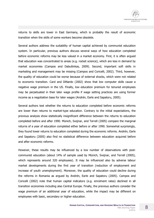

returns to skills are lower in East Germany, which is probably the result of economic transition when the skills of some workers become obsolete.

Several authors address the suitability of human capital achieved by communist education system. In particular, previous authors discuss several ways of how education completed before economic reforms may be less valued in a market economy. First, it is often argued that education was concentrated to areas (e.g. rocket science), which are less in demand by market economies (Campos and Dabušinkas, 2009). Second, important soft skills in marketing and management may be missing (Campos and Coricelli, 2002). Third, however, the quality of education could be worse because of external shocks, which were not related to economic transition. Card and DiNardo (2002) show that low computer skills cause a negative wage premium in the US. Finally, low education premium for tenured employees may be perpetuated in their later wage profile if wage setting practices are using former income as a negotiation base for later wages (Andrén, Earle and Sapatoru, 2005).

Several authors test whether the returns to education completed before economic reforms are lower than returns to market-type education. Contrary to the initial expectations, the previous analysis show statistically insignificant difference between the returns to education completed before and after 1990. Münich, Svejnar, and Terrell (2005) compare the marginal returns of a year of education completed either before or after 1990. Somewhat surprisingly, they found lower returns to education completed during the economic reforms. Andrén, Earle and Sapatoru (2005) also find no statistical difference between education acquired before and after economic reforms.

However, these results may be influenced by a low number of observations with postcommunist education (about 14% of sample used by Münich, Svejnar, and Terrell (2005), which represents around 320 employees). It may be influenced also by adverse labour market developments during the first year of transition (reduction of employment and increase of youth unemployment). Moreover, the quality of education could decline during the reforms in Romania as argued by Andrén, Earle and Sapatoru (2005). Campos and Coricelli (2002) note that human capital indicators (e.g. enrolment rates) declined in all transition economies including also Central Europe. Finally, the previous authors consider the wage premium of an additional year of education, while the impact may be different on employees with basic, secondary or higher education.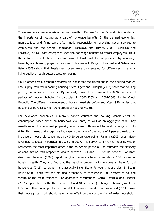

There are only a few analysis of housing wealth in Eastern Europe. Early studies pointed at the importance of housing as a part of non-wage benefits. In the planned economies, municipalities and firms were often made responsible for providing social services to employees and the general population (Tsenkova and Turner, 2004, Juurikkala and Lazareva, 2006). State enterprises used the non-wage benefits to attract employees. Thus, the enforced equalization of income was at least partially compensated by non-wage benefits, and housing played a key role in this respect. Berger, Blomquist and Sabirianova Peter (2008) show that Russian employees were compensated for differences in regional living quality through better access to housing.

Unlike other areas, economic reforms did not target the distortions in the housing market. Low supply resulted in soaring housing prices. Égert and Mihaljek (2007) show that housing price grew similarly to income. By contrast, Hlaváček and Komárek (2009) find several periods of housing bubbles (in particular, in 2002-2003 and 2007-2008) in the Czech Republic. The different development of housing markets before and after 1990 implies that households have largely different stocks of housing wealth.

For developed economies, numerous papers estimate the housing wealth effect on consumption based either on household level data, as well as on aggregate data. They usually report that marginal propensity to consume with respect to wealth change is up to 0.10. This means that exogenous increase in the value of the house of 1 percent leads to an increase of household consumption by 0.10 percentage points. Farinha (2009) uses microlevel data collected in Portugal in 2006 and 2007. This survey confirms that housing wealth represents the most important asset in the household portfolio. She estimates the elasticity of consumption with respect to wealth between 0.04 and 0.05 for households. For Italy, Grant and Peltonen (2008) report marginal propensity to consume above 0.08 percent of housing wealth. They also find that the marginal propensity to consume is higher for old households (0.15), whereas it is statistically insignificant for young households. In Spain, Bover (2005) finds that the marginal propensity to consume is 0.02 percent of housing wealth of the main residence. For aggregate consumption, Carrol, Otszuka and Slacalek (2011) report the wealth effect between 4 and 10 cents per \$1 change in housing wealth in U.S. data. Using a simple life-cycle model, Attanasio, Leicester and Wakefield (2011) prove that house price shock should have larger effect on the consumption of older households.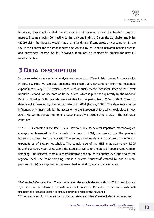

Moreover, they conclude that the consumption of younger households tends to respond more to income shocks. Contrasting to the previous findings, Calomiris, Longhofer and Miles (2009) claim that housing wealth has a small and insignificant effect on consumption in the US, if the control for the endogeneity bias caused by correlation between housing wealth and permanent income. So far, however, there are no comparable studies for new EU member states.

# **3 DATA DESCRIPTION**

j

In our repeated cross-sectional analysis we merge two different data sources for households in Slovakia. First, we use data on household income and consumption from the household expenditure survey (HES), which is conducted annually by the Statistical Office of the Slovak Republic. Second, we use data on house prices, which is published quarterly by the National Bank of Slovakia. Both datasets are available for the period from 2004 to 2009. Thus our data is not influenced by the flat tax reform in 2004 (Moore, 2005). The data sets may be influenced only marginally by the accession to the European Union, which took place in May 2004. We do not deflate the nominal data; instead we include time effects in the estimated equations.

The HES is collected since late 1950s. However, due to several important methodological changes implemented in the household survey in 2004, we cannot use the previous household surveys for the analysis. $8$  The survey provides data on structure of income and expenditures of Slovak households. The sample size of the HES is approximately 4,700 households every year. Since 2004, the Statistical Office of the Slovak Republic uses random sampling. The selected sample is representative not only on a country level but also at the regional level. The basic sampling unit is a private household $9$  created by one or more persons who (i) live together in the same dwelling and (ii) share the living costs.

<sup>&</sup>lt;sup>8</sup> Before the 2004 wave, the HES used to have smaller sample size (only about 1600 households) and significant part of Slovak households were not surveyed. Particularly those households with unemployed or disabled person or single mother as a head of the household.

 $9$  Collective households (for example hospitals, cloisters, and prisons) are excluded from the survey.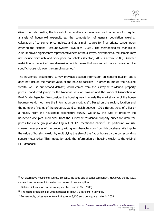Given the data quality, the household expenditure surveys are used commonly for regular analysis of household expenditures, the computation of general population weights, calculation of consumer price indices, and as a main source for final private consumption entering the National Account System (Byfuglien, 2006). The methodological changes in 2004 improved significantly representativeness of the surveys. Nevertheless, the sample may not include very rich and very poor households (Deaton, 2005, Carraro, 2006). Another restriction is the lack of time dimension, which means that we can not trace a behaviour of a specific household over the sampling period.<sup>10</sup>

The household expenditure survey provides detailed information on housing quality, but it does not include the market value of the housing facilities. In order to impute the housing wealth, we use our second dataset, which comes from the survey of residential property prices<sup>11</sup> conducted jointly by the National Bank of Slovakia and the National Association of Real Estate Agencies. We consider the housing wealth equals the market value of the house because we do not have the information on mortgage<sup>12</sup>. Based on the region, location and the number of rooms of the property, we distinguish between 120 different types of a flat or a house. From the household expenditure survey, we know the type of property the household occupies. Moreover, from the survey of residential property prices we draw the prices for every group of dwelling out of 120 mentioned earlier<sup>13</sup>. In particular, we use square meter prices of the property with given characteristics from this database. We impute the value of housing wealth by multiplying the size of the flat or house by the corresponding square meter price. This imputation adds the information on housing wealth to the original HES database.

 $10$  An alternative household survey, EU SILC, includes aslo a panel component. However, the EU SILC survey does not cover information on household consumption.

 $11$  Detailed information on the survey can be found in Cár (2006).

 $12$  The share of households with mortgage is about 10 per cent in Slovakia.

 $13$  For example, prices range from 418 euro to 5,130 euro per square meter in 2009.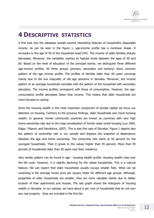# **4 DESCRIPTIVE STATISTICS**

A first look into the database reveals several interesting features of household's disposable income. As can be seen in the figure 1, age-income profile has a nonlinear shape. It increases to the age of 50 of the household head (HH). The income of older families sharply decreases. Moreover, the variability reaches its highest levels between the ages of 50 and 60. Based on the level of education of the principal earner, we distinguish three different age-income profiles. All three groups (primary, secondary and tertiary) share common pattern of the age income profile. The profiles of families older than 60 years converge mainly due to the low inequality of old age pensions in Slovakia. Moreover, the income pattern of an average household coincides with the pattern of the household with secondary education. The income profiles correspond with those of consumption. However, the ageconsumption profile decreases faster than income. This means that older households are more focused on saving.

Since the housing wealth is the most important component of private capital we focus our attention on housing. Contrary to the previous findings, older households own more housing wealth. In general, former communist countries are known as countries with very high home-ownership rate due to the mass privatization of former state rental housing (Lux 2004, Edgar, Filipovic and Dandolova, 2007). This is also the case of Slovakia. Figure 1 depicts also the pattern of ownership rate in our sample and displays the snapshot of dependency between the age and home ownership. The ownership rate starts at 50 percent for the youngest households. Then it grows to the values higher than 95 percent. More than 95 percent of households older than 50 years own their residence.

Very similar pattern can be found in age - housing wealth profile. Housing wealth rises over the life cycle. However, it is slightly declining for the oldest households. This is a natural feature. We can expect that older households usually occupy smaller flats. What can be surprising is the average house price per square meter for different age groups. Although, properties of older households are smaller, they are more valuable mainly due to better location of their apartments and houses. The last graph shows the histogram of housing wealth in Slovakia. In our sample, we have about 6 per cent of households that do not own any real property - they are included in the first bin.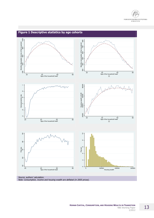



#### **HUMAN CAPITAL, CONSUMPTION, AND HOUSING WEALTH IN TRANSITION <b>13** NBS Working Paper 2/2012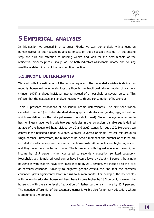

### **5 EMPIRICAL ANALYSIS**

In this section we proceed in three steps. Firstly, we start our analysis with a focus on human capital of the households and its impact on the disposable income. In the second step, we turn our attention to housing wealth and look for the determinants of the residential property prices. Finally, we use both indicators (disposable income and housing wealth) as determinants of the consumption function.

### **5.1 INCOME DETERMINANTS**

We start with the estimation of the income equation. The depended variable is defined as monthly household income (in logs), although the traditional Mincer model of earnings (Mincer, 1974) analyzes individual income instead of a household of several persons. This reflects that the next sections analyze housing wealth and consumption of households.

Table 1 presents estimations of household income determinants. The first specification (labelled Income 1) includes standard demographic indicators as gender, age, education, which are defined for the principal earner (household head). Since, the age-income profile has nonlinear shape, we include two age variables in the regression. Variable age is defined as age of the household head divided by 10 and age2 stands for age $^2/100$ . Moreover, we control if the household head is widow, widower, divorced or single (we call this group as single parent). Furthermore, the number of household members and number of children are included in order to capture the size of the households. All variables are highly significant and they have the expected attributes. The households with highest education have higher income by 18.5 percent when compared to secondary education (omitted category). Households with female principal earner have income lower by about 4.8 percent, but single households with children have even lower income by 23.1 percent. We include also the level of partner's education. Similarly to negative gender effects, we find that the partner's education yields significantly lower returns to human capital. For example, the households with university educated household head have income higher by 18.5 percent, however, the household with the same level of education of his/her partner earn more by 13.7 percent. The negative differential of the secondary earner is visible also for primary education, where it amounts to 0.9 percent.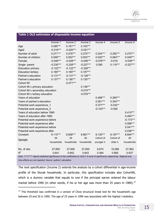| Table 1 OLS estimates of disposable income equation |             |             |             |             |            |             |
|-----------------------------------------------------|-------------|-------------|-------------|-------------|------------|-------------|
|                                                     | Income 1    | Income 2    | Income 3    | Income 4    | Income 5   | Income 6    |
| Age                                                 | $0.095***$  | $0.161***$  | $0.163***$  |             |            |             |
| Age2                                                | $-0.016***$ | $-0.020***$ | $-0.021***$ |             |            |             |
| Number of adult                                     | $0.271***$  | $0.276***$  | $0.275***$  | $0.244***$  | $0.292***$ | $0.275***$  |
| Number of children                                  | $0.058***$  | $0.052***$  | $0.053***$  | $0.030***$  | $0.064***$ | $0.049***$  |
| Female                                              | $-0.048***$ | $-0.048***$ | $-0.049***$ | $-0.076***$ | $-0.019$   | $-0.039***$ |
| Single parent                                       | $-0.230***$ | $-0.226***$ | $-0.227***$ | 0.090       | $0.119***$ | $-0.227***$ |
| <b>Education primary</b>                            | $-0.122***$ | $-0.122***$ | $-0.328***$ |             |            |             |
| <b>Education tertiary</b>                           | $0.185***$  | $0.185***$  | $0.187***$  |             |            |             |
| Partner's education                                 | $-0.131***$ | $-0.131***$ | $-0.128***$ |             |            |             |
| Partner's education                                 | $0.137***$  | $0.136***$  | $0.135***$  |             |            |             |
| Cohort 90                                           |             | $-0.071***$ |             |             |            |             |
| Cohort 90 x primary education                       |             |             | $0.148***$  |             |            |             |
| Cohort 90 x secondary education                     |             |             | $-0.074***$ |             |            |             |
| Cohort 90 x tertiary education                      |             |             | $-0.076***$ |             |            |             |
| Years of education                                  |             |             |             | $0.488***$  | $0.265***$ |             |
| Years of partner's education                        |             |             | $0.261***$  | $0.304***$  |            |             |
| Potential work experience_1                         |             |             |             | $0.377***$  | $-0.242**$ |             |
| Potential work experience_2                         |             |             |             | $-0.103***$ | $-0.050$   |             |
| Years of education before 1990                      |             |             |             |             |            | $0.415***$  |
| Years of education after 1990                       |             |             |             |             |            | $0.494***$  |
| Potential work experience before                    |             |             |             |             |            | $-0.173***$ |
| Potential work experience after                     |             |             |             |             |            | 0.096***    |
| Potential work experience before                    |             |             |             |             |            | $0.041***$  |
| Potential work experience after                     |             |             |             |             |            | $0.036***$  |
| Constant                                            | $9.115***$  | 8.958***    | 8.961***    | 8.135***    | 8.197***   | 8.604***    |
| Sample                                              | All         | All         | All         | Cohort of   | Cohort of  | All         |
|                                                     | households  | households  | households  | younger h.  | older h.   | households  |
| No. of obs.                                         | 27,650      | 27,650      | 27,650      | 8,674       | 19,288     | 27,962      |
| $R^2$                                               | 0.641       | 0.642       | 0.643       | 0.464       | 0.665      | 0.637       |

**Table 1 OLS estimates of disposable income equation**

Note: \*/\*\*/\*\*\* depicts statistical significance of the coefficients at 10/5/1 % level of significance respectively. Regional and *time effects are not reported. Source: authors' calculation.*

The next specification (Income 2) extends the analysis by a cohort differential in age-income profile of the Slovak households. In particular, this specification includes also Cohort90, which is a dummy variable that equals to one if the principal earner entered the labour market before 1990 (in other words, if his or her age was more than 25 years in 1989).<sup>14</sup>

<sup>&</sup>lt;sup>14</sup> This threshold was confirmed in a version of Chow structural break test for the household's age between 20 and 30 in 1990. The age of 25 years in 1990 was associated with the highest *t*-statistics.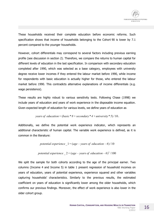

These households received their complete education before economic reforms. Such specification shows that income of households belonging to the Cohort 90 is lower by 7.1 percent compared to the younger households.

However, cohort differentials may correspond to several factors including previous earning profile (see discussion in section 2). Therefore, we compare the returns to human capital for different levels of education in the last specification. In comparison with secondary education completed after 1990, which was selected as a base category, employees with university degree receive lower incomes if they entered the labour market before 1990, while income for respondents with basic education is actually higher for those, who entered the labour market before 1990. This contradicts alternative explanations of income differentials (e.g. wage persistence).

These results are highly robust to various sensitivity tests. Following Chase (1998) we include years of education and years of work experience in the disposable income equation. Given expected length of education for various levels, we define years of education as

*years of education=* (*basic\* 8+secondary\* 4+university\* 5*) /10.

Additionally, we define the potential work experience indicator, which represents an additional characteristic of human capital. The variable work experience is defined, as it is common in the literature:

*potential experience*  $1 = (age - years of education - 6)/10$ 

potential experience 
$$
2 = (age - years of education - 6)^2 / 100
$$

We split the sample for both cohorts according to the age of the principal earner. Two columns (Income 4 and Income 5) in table 1 present regression of household incomes on years of education, years of potential experience, experience squared and other variables capturing households' characteristics. Similarly to the previous results, the estimated coefficient on years of education is significantly lower among the older households, which confirms our previous findings. Moreover, the effect of work experience is also lower in the older cohort group.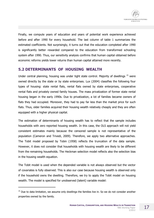Finally, we compute years of education and years of potential work experience achieved before and after 1990 for every household. The last column of table 1 summarizes the estimated coefficients. Not surprisingly, it turns out that the education completed after 1990 is significantly better rewarded compared to the education from transformed schooling system after 1990. Thus, our sensitivity analysis confirms that human capital obtained before economic reforms yields lower returns than human capital attained more recently.

### **5.2 DETERMINANTS OF HOUSING WEALTH**

Under central planning, housing was under tight state control. Majority of dwellings <sup>15</sup> were owned directly by the state or by state enterprises. Lux (2004) classifies the following four types of housing: state rental flats, rental flats owned by state enterprises, cooperative rental flats and privately owned family houses. The mass privatization of former state rental housing began in the early 1990s. Due to privatization, a lot of families became owners of flats they had occupied. Moreover, they had to pay far less than the market price for such flats. Thus, older families acquired their housing wealth relatively cheaply and they are often equipped with a higher physical capital.

The estimation of determinants of housing wealth has to reflect that the sample includes households with zero reported housing wealth. In this case, the OLS approach will not yield consistent estimates mainly because the censored sample is not representative of the population (Cameron and Trivedi, 2009). Therefore, we apply two alternative approaches. The Tobit model proposed by Tobin (1958) reflects the truncation of the data sample. However, it does not consider that households with housing wealth are likely to be different from the remaining households. The Heckman selection model reflects also the selection bias in the housing wealth equation.

The Tobit model is used when the depended variable is not always observed but the vector of covariates is fully observed. This is also our case because housing wealth is observed only if the household owns the dwelling. Therefore, we try to apply the Tobit model on housing wealth. The model is specified for unobserved (latent) variable model:

<sup>&</sup>lt;sup>15</sup> Due to data limitation, we assume only dwellings the families live in. So we do not consider another properties owned by the family.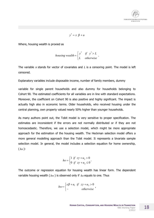

$$
y^* = x \beta + u
$$

Where, housing wealth is proxied as

$$
housing\ wealth = \begin{cases} y^* & \text{if } y^* > L \\ L & \text{otherwise} \end{cases}.
$$

The variable *<sup>x</sup>* stands for vector of covariates and *L* is a censoring point. The model is left censored.

Explanatory variables include disposable income, number of family members, dummy

variable for single parent households and also dummy for households belonging to Cohort 90. The estimated coefficients for all variables are in line with standard expectations. Moreover, the coefficient on Cohort 90 is also positive and highly significant. The impact is actually high also in economic terms. Older households, who received housing under the central planning, own property valued nearly 50% higher than younger households.

As many authors point out, the Tobit model is very sensitive to proper specification. The estimates are inconsistent if the errors are not normally distributed or if they are not homoscedastic. Therefore, we use a selection model, which might be more appropriate approach for the estimation of the housing wealth. The Heckman selection model offers a more general modelling approach than the Tobit model. It represents a bivariate sample selection model. In general, the model includes a selection equation for home ownership, ( *ho* ):

$$
ho = \begin{cases} 1 & \text{if } z\gamma + u_2 > 0 \\ 0 & \text{if } z\gamma + u_2 \le 0 \end{cases}.
$$

The outcome or regression equation for housing wealth has linear form. The dependent variable housing wealth ( *hw* ) is observed only if *ho* equals to one. Thus

$$
hw = \begin{cases} x\beta + u_1 & \text{if } z\gamma + u_2 > 0 \\ - & \text{otherwise} \end{cases}
$$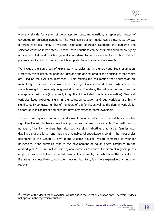

where *<sup>x</sup>* stands for vector of covariates for outcome equation, *z* represents vector of covariates for selection equations. The Heckman selection model can be estimated by two different methods. First, a two-step estimation approach estimates the outcome and selection equation in two steps. Second, both equations can be estimated simultaneously by a maximum likelihood, which is generally considered to be more efficient and robust. Table 2 presents results of both methods which supports the robustness of our results.

We include the same set of explanatory variables as in the previous Tobit estimation. Moreover, the selection equation includes age and age squared of the principal earner, which are used as the exclusion restriction<sup>16</sup>. This reflects the assumption that households are more likely to become home owners as they age. Once acquired, households stay in the same housing for a relatively long period of time. Therefore, the value of housing does not change again with age (it is actually insignificant if included in outcome equation). Nearly all variables keep expected signs in the selection equation and age variables are highly significant. By contrast, number of members of the family, as well as the dummy variable for Cohort 90, is insignificant and does not have any effect on home ownership.

The outcome equation contains the disposable income, which as expected has a positive sign. Families with higher income live in properties that are more valuable. The coefficient on number of family members has also positive sign indicating that larger families own dwellings that are larger and thus more valuable. All specifications confirm that households belonging to the Cohort 90 own more valuable housing wealth compared to younger households. Year dummies capture the development of house prices compared to the omitted year 2004. We include also regional dummies to control for different regional prices of properties, which keep expected results. For example, households in the capital city, Bratislava, are less likely to own their housing, but if so, it is more expensive than in other regions.

 $\overline{a}$ 

 $16$  Because of the identification condition, we use age in the selection equation only. Therefore, it does not appear in the regression equation.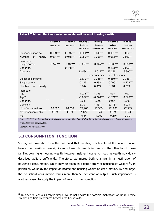|                        | <b>Housing 1</b>   | <b>Housing 2</b>   | <b>Housing 3</b> | <b>Housing 4</b>                | <b>Housing 5</b> | <b>Housing 6</b> |
|------------------------|--------------------|--------------------|------------------|---------------------------------|------------------|------------------|
|                        | <b>Tobit model</b> | <b>Tobit model</b> | Heckman          | Heckman                         | Heckman          | Heckman          |
|                        |                    |                    | model - ML       | model -2STEP                    | model - ML       | model -2STEP     |
| Disposable income      | $0.159***$         | $0.145***$         | $0.061***$       | $0.043***$                      | $0.061***$       | $0.054***$       |
| οf<br>Number<br>family | $0.031***$         | $0.078***$         | $0.050***$       | $0.056***$                      | $0.063***$       | $0.062***$       |
| members                |                    |                    |                  |                                 |                  |                  |
| Single-parent          | $-0.149***$        | $-0.137***$        | $-0.058***$      | $-0.045***$                     | $-0.060***$      | $-0.058***$      |
| Cohort 90              |                    | $0.448***$         |                  |                                 | $0.133***$       | $0.093***$       |
| Constant               |                    |                    | 13.434***        | 13.619***                       | 13.286***        | 13.395***        |
|                        |                    |                    |                  | Homeownership - selection model |                  |                  |
| Disposable income      |                    |                    | $0.370***$       | $0.336***$                      | $0.360***$       | $0.336***$       |
| Single parent          |                    |                    | $-0.199***$      | $-0.238***$                     | $-0.206***$      | $-0.238***$      |
| Number<br>Οf<br>family |                    |                    | 0.042            | 0.019                           | 0.034            | 0.019            |
| members                |                    |                    |                  |                                 |                  |                  |
| Age                    |                    |                    | $1.023***$       | 1.093***                        | 1.058***         | 1.093***         |
| Age2                   |                    |                    | $-0.067***$      | $-0.076***$                     | $-0.071***$      | $-0.076***$      |
| Cohort 90              |                    |                    | 0.041            | $-0.000$                        | $-0.031$         | $-0.000$         |
| Constant               |                    |                    | $-5.301***$      | $-4.931***$                     | $-5.178***$      | $-4.931***$      |
| No. of observations    | 26,300             | 26,300             | 27,965           | 27,965                          | 27, 965          | 27,965           |
| No. of censored obs.   | 1,674              | 1,674              | 1,674            | 1,674                           | 1,674            | 1,674            |
| rho                    |                    |                    | $-0.447$         | $-1.000$                        | $-0.275$         | $-0.701$         |

#### **Table 2 Tobit and Heckman selection model estimates of housing wealth**

Note: \*/\*\*/\*\*\* depicts statistical significance of the coefficients at 10/5/1 % level of significance respectively. Regional and

*time effects are not reported.* 

*Source: authors' calculation.* 

 $\overline{a}$ 

### **5.3 CONSUMPTION FUNCTION**

So far, we have shown on the one hand that families, which entered the labour market before the transition have significantly lower disposable income. On the other hand, those families own higher housing wealth. However, neither income nor housing wealth individually describes welfare sufficiently. Therefore, we merge both channels in an estimation of household consumption, which may be taken as a better proxy of households' welfare <sup>17</sup>. In particular, we study the impact of income and housing wealth on consumption. By and large, the household consumption forms more than 50 per cent of output. Such importance is another reason to study the impact of wealth on consumption.

 $17$  In order to keep our analysis simple, we do not discuss the possible implications of future income streams and time preferences between the households.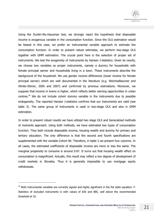Using the Durbin-Wu-Hausman test, we strongly reject the hypothesis that disposable income is exogenous variable in the consumption function. Since the OLS estimation would be biased in this case, we prefer an instrumental variable approach to estimate the consumption function. In order to present robust estimates, we perform two-stage OLS together with GMM estimation. The crucial point here is the selection of proper set of instruments. We test the exogeneity of instruments by Hansen J-statistics. Given its results, we choose two variables as proper instruments, namely a dummy for households with female principal earner and households living in a town. These instruments describe the background of the household. We use gender income differences (lower income for female principal earner) which are well documented in the literature (e.g. Weichselbaumer and Winter-Ebmer, 2005 and 2007) and confirmed by previous estimations. Moreover, we suppose that income in towns is higher, which reflects better earning opportunities in urban centres.<sup>18</sup> We do not include cohort dummy variable in the instruments due to possible endogeneity. The reported Hansen J-statistics confirms that our instruments are valid (see table 3). The same group of instruments is used in two-stage OLS and also in GMM estimation.

In order to present robust results we have utilized two stage OLS and Generalized methods of moments approach. Using both methods, we have estimated two types of consumption function. They both include disposable income, housing wealth and dummy for primary and tertiary education. The only difference is that the second and fourth specifications are supplemented with the variable Cohort 90. Therefore, in table 3 we present four columns. In all cases, the estimated coefficients of disposable income are more or less the same. The marginal propensity to consume is around 0.87. It turns out that housing wealth effect on consumption is insignificant. Actually, this result may reflect a low degree of development of credit markets in Slovakia. Thus it is generally impossible to use mortgage equity withdrawals.

 $18$  Both instrumental variables are correctly signed and highly significant in the fist state equation. F-Statistics of excluded instruments is with values of 820 and 885, well above the recommended threshold of 10.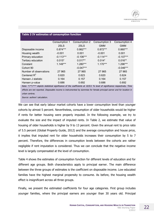|                                                                                                                                                           | Consumption 1 | Consumption 2 | Consumption 3 | Consumption 4     |
|-----------------------------------------------------------------------------------------------------------------------------------------------------------|---------------|---------------|---------------|-------------------|
|                                                                                                                                                           | 2SLS          | 2SLS          | <b>GMM</b>    | <b>GMM</b>        |
| Disposable income                                                                                                                                         | $0.874***$    | $0.862***$    | $0.872***$    | $0.860***$        |
| Housing wealth                                                                                                                                            | $-0.001$      | 0.001         | $-0.001$      | 0.001             |
| Primary education                                                                                                                                         | $-0.113***$   | $-0.106***$   | $-0.114***$   | $-0.107***$       |
| Tertiary education                                                                                                                                        | $0.015*$      | $0.017**$     | $0.014*$      | $0.016**$         |
| Constant                                                                                                                                                  | $1.149***$    | 1.280***      | $1.170***$    | 1.296***          |
| Cohort 90                                                                                                                                                 |               | $-0.047***$   |               | $-0.046***$       |
| Number of observations                                                                                                                                    | 27 965        | 27 965        | 27 965        | 27 965            |
| Centered $R^2$                                                                                                                                            | 0.620         | 0.623         | 0.620         | 0.624             |
| Hansen J statistic                                                                                                                                        | 0.164         | 0.157         | 0.164         | 0.157             |
| Hansen p-value                                                                                                                                            | 0.686         | 0.692         | 0.686         | 0.692             |
| $\mathbf{A} \mathbf{I}$ , the distribution of $\mathbf{I}$ , and $\mathbf{I}$ , and $\mathbf{I}$ , and $\mathbf{I}$ , and $\mathbf{I}$ , and $\mathbf{I}$ |               |               |               | $\cdots$ $\cdots$ |

#### **Table 3 IV estimates of consumption function**

Note:  $*/**/***$  depicts statistical significance of the coefficients at 10/5/1 % level of significance respectively. Time effects are not reported. Disposable income is instrumented by dummies for female principal earner and for location in *urban centres.* 

*Source: authors' calculation.*

We can see that early labour market cohorts have a lower consumption level than younger cohorts by almost 5 percent. Nevertheless, consumption of older households would be higher if rents for better housing were properly imputed. In the following example, we try to evaluate the size and the impact of imputed rents. In Table 2, we estimate that value of housing of older households is higher by 9 to 13 percent. Given the annual rent to price ratio of 5.5 percent (Global Property Guide, 2012) and the average consumption and house price, it implies that imputed rent for older households increases their consumption by 5 to 7 percent. Therefore, the differences in consumption levels between the cohorts are rather negligible if rent imputation is considered. Thus we can conclude that the negative income level is largely compensated at the level of consumption.

Table 4 shows the estimates of consumption function for different levels of education and for different age groups. Both characteristics apply to principal earner. The main difference between the three groups of estimates is the coefficient on disposable income. Low educated families have the highest marginal propensity to consume. As before, the housing wealth effect is insignificant across all three groups.

Finally, we present the estimated coefficients for four age categories. First group includes younger families, where the principal earners are younger than 30 years old. Principal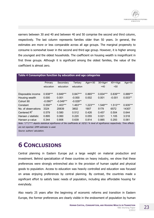earners between 30 and 40 and between 40 and 50 comprise the second and third column, respectively. The last column represents families older than 50 years. In general, the estimates are more or less comparable across all age groups. The marginal propensity to consume is somewhat lower in the second and third age group. However, it is higher among the youngest and the oldest households. The coefficient on housing wealth is insignificant in first three groups. Although it is significant among the oldest families, the value of the coefficient is almost zero.

| rable + Consumption function by equidition and age categories |            |             |            |               |               |               |            |
|---------------------------------------------------------------|------------|-------------|------------|---------------|---------------|---------------|------------|
|                                                               |            |             |            |               |               |               |            |
|                                                               | Primary    | Secondary   | Tertiary   | Age $\le$ =30 | $30<$ Age $<$ | $40 < = A$ ae | Age $>50$  |
|                                                               | education  | education   | education  |               | $=40$         | $50$          |            |
|                                                               |            |             |            |               |               |               |            |
| Disposable income                                             | $0.938***$ | $0.849***$  | $0.847***$ | $0.865***$    | $0.834***$    | $0.839***$    | $0.889***$ |
| Housing wealth                                                | 0.000      | 0.001       | $-0.000$   | 0.002         | 0.001         | $-0.001$      | $0.003**$  |
| Cohort 90                                                     | $-0.090**$ | $-0.049***$ | $-0.029**$ |               |               |               |            |
| Constant                                                      | $0.550**$  | $1.403***$  | $1.463***$ | $1.223***$    | 1.548***      | $1.513***$    | $0.935***$ |
| No. of observations                                           | 3324       | 20839       | 3802       | 1907          | 5179          | 6572          | 14307      |
| Centered $R^2$                                                | 0.579      | 0.580       | 0.512      | 0.426         | 0.457         | 0.504         | 0.644      |
| Hansen J statistic                                            | 0.895      | 0.060       | 0.220      | 0.055         | 0.021         | 1.105         | 3.518      |
| Hansen p-value                                                | 0.344      | 0.806       | 0.639      | 0.814         | 0.885         | 0.293         | 0.061      |

#### **Table 4 Consumption function by education and age categories**

Note: \*/\*\*/\*\*\* depicts statistical significance of the coefficients at 10/5/1 % level of significance respectively. Time effects *are not reported. GMM estimator is used.* 

*Source: authors' calculation.* 

# **6 CONCLUSIONS**

Central planning in Eastern Europe put a large weight on material production and investment. Behind specialization of these countries on heavy industry, we show that these preferences were strongly entrenched also in the provision of human capital and physical goods to population. Access to education was heavily controlled and education was focused on areas enjoying preferences by central planning. By contrast, the countries made a significant effort to satisfy basic needs of population, including also affordable housing for everybody.

Also nearly 25 years after the beginning of economic reforms and transition in Eastern Europe, the former preferences are clearly visible in the endowment of population by human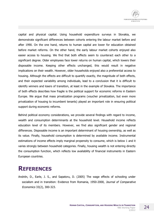capital and physical capital. Using household expenditure surveys in Slovakia, we demonstrate significant differences between cohorts entering the labour market before and after 1990. On the one hand, returns to human capital are lower for education obtained before market reforms. On the other hand, the early labour market cohorts enjoyed also easier access to housing. We find that both effects seem to counteract each other to a significant degree. Older employees face lower returns on human capital, which lowers their disposable income. Keeping other effects unchanged, this would result in negative implications on their wealth. However, older households enjoyed also a preferential access to housing. Although the effects are difficult to quantify exactly, the magnitude of both effects, and their expected variability among individuals, lead to a conclusion that it is difficult to identify winners and losers of transition, at least in the example of Slovakia. The importance of both effects describes how fragile is the political support for economic reforms in Eastern Europe. We argue that mass privatization programs (voucher privatization, but even more privatization of housing to incumbent tenants) played an important role in ensuring political support during economic reforms.

Behind political economy considerations, we provide several findings with regard to income, wealth and consumption determinants at the household level. Household income reflects education level of its members. However, we find also significant gender and regional differences. Disposable income is an important determinant of housing ownership, as well as its value. Finally, household consumption is determined by available income. Instrumental estimations of income effects imply marginal propensity to consume, which is below 1 and it varies strongly between household categories. Finally, housing wealth is not entering directly the consumption function, which reflects low availability of financial instruments in Eastern European countries.

## **REFERENCES**

Andrén, D., Earle, J. S., and Sapatoru, D. (2005) The wage effects of schooling under socialism and in transition: Evidence from Romania, 1950-2000, *Journal of Comparative Economics* 33(2), 300-323.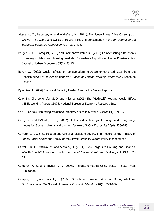- Attanasio, O., Leicester, A. and Wakefield, M. (2011), Do House Prices Drive Consumption Growth? The Coincident Cycles of House Prices and Consumption in the UK. *Journal of the European Economic Association*, 9(3), 399–435.
- Berger, M. C., Blomquist, G. C., and Sabirianova Peter, K., (2008) Compensating differentials in emerging labor and housing markets: Estimates of quality of life in Russian cities, Journal of Urban Economics 63(1), 25-55.
- Bover, O. (2005) Wealth effects on consumption: microeconometric estimates from the Spanish survey of household finances." *Banco de Españ<sup>a</sup> Working Papers 0522*, Banco de España.
- Byfuglien, J. (2006) Statistical Capacity Master Plan for the Slovak Republic.
- Calomiris, Ch., Longhofer, S. D. and Miles W. (2009) The (Mythical?) Housing Wealth Effect ,NBER Working Papers 15075, National Bureau of Economic Research, Inc.
- Cár, M. (2006) Monitoring residential property prices in Slovakia. *Biatec* 14(1), 9-15.
- Card, D., and DiNardo, J. E., (2002) Skill-biased technological change and rising wage inequality: Some problems and puzzles, *Journal of Labor Economics* 20(4), 733–783.
- Carraro, L. (2006) Calculation and use of an absolute poverty line. Report for the Ministry of Labor, Social Affairs and Family of the Slovak Republic. Oxford Policy Management.
- Carroll, Ch. D., Otsuka, M. and Slacalek, J. (2011). How Large Are Housing and Financial Wealth Effects? A New Approach. *Journal of Money, Credit and Banking*, vol. 43(1), 55- 79.
- Cameron, A. C. and Trivedi P. K. (2009). Microeconometrics Using Stata. A Stata Press Publication.
- Campos, N. F., and Coricelli, F. (2002). Growth in Transition: What We Know, What We Don't, and What We Should, J*ournal of Economic Literature* 40(3), 793-836.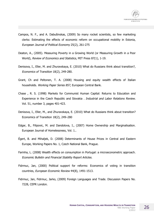- Campos, N. F., and A. Dabušinskas, (2009) So many rocket scientists, so few marketing clerks: Estimating the effects of economic reform on occupational mobility in Estonia, *European Journal of Political Economy* 25(2), 261-275
- Deaton, A., (2005). Measuring Poverty in a Growing World (or Measuring Growth in a Poor World), *Review of Economics and Statistics*, MIT Press 87(1), 1-19.
- Denisova, I., Eller, M. and Zhuravskaya, E. (2010) What do Russians think about transition?, *Economics of Transition* 18(2), 249-280.
- Grant, Ch and Peltonen, T. A. (2008) Housing and equity wealth effects of Italian households. *Working Paper Series 857*, European Central Bank.
- Chase , R. S. (1998) Markets for Communist Human Capital: Returns to Education and Experience in the Czech Republic and Slovakia . *Industrial and Labor Relations Review.*  Vol. 51, number 3, pages 401-423.
- Denisova, I., Eller, M., and Zhuravskaya, E. (2010) What do Russians think about transition? Economics of Transition 18(2), 249–280
- Edgar, B., Filipovic, M. and Dandolova, I., (2007) Home Ownership and Marginalisation. European Journal of Homelessness, Vol. 1..
- Égert, B. and Mihaljek, D. (2008) Determinants of House Prices in Central and Eastern Europe, Working Papers No. 1, Czech National Bank, Prague.
- Farinha, L. (2008) Wealth effects on consumption in Portugal: a microeconometric approach. *Economic Bulletin and Financial Stability Report Articles*.
- Fidrmuc, Jan, (2000) Political support for reforms: Economics of voting in transition countries, *European Economic Review* 44(8), 1491-1513.
- Fidrmuc, Jan, Fidrmuc, Jarko, (2009) Foreign Languages and Trade. Discussion Papers No. 7228, CEPR London.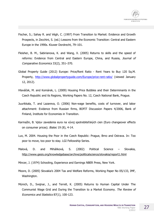- Fischer, S.; Sahay R. and Végh, C. (1997) From Transition to Market: Evidence and Growth Prospects, in Zecchini, S. (ed.) Lessons from the Economic Transition: Central and Eastern Europe in the 1990s. Kluwer Dordrecht, 79–101.
- Fleisher, B. M., Sabirianova, K. and Wang, X. (2005) Returns to skills and the speed of reforms: Evidence from Central and Eastern Europe, China, and Russia, *Journal of Comparative Economics* 33(2), 351–370.
- Global Property Guide (2012) Europe: Price/Rent Ratio Rent Years to Buy 120 Sq.M. Property, <http://www.globalpropertyguide.com/Europe/price-rent-ratio/> (viewed January 12, 2012).
- Hlaváček, M. and Komárek, L. (2009) Housing Price Bubbles and their Determinants in the Czech Republic and its Regions, Working Papers No. 12, Czech National Bank, Prague.
- Juurikkala, T. and Lazareva, O. (2006) Non-wage benefits, costs of turnover, and labor attachment: Evidence from Russian firms, BOFIT Discussion Papers 4/2006, Bank of Finland, Institute for Economies in Transition.
- Karmažin, B. Vplyv zavedenia eura na vývoj spotrebiteľských cien (Euro changeover effects on consumer prices). *Biatec* 19 (8), 4-14.
- Lux, M. 2004. Housing the Poor in the Czech Republic: Prague, Brno and Ostrava. In: Too poor to move, too poor to stay. LGI Fellowship Series.
- Malová, D. and Miháliková, S. (2002) Political Science Slovakia, <http://www.gesis.org/knowledgebase/archive/politicalscience/slovakia/report1.html>
- Mincer, J. (1974) Schooling, Experience and Earnings NBER Press, New York.
- Moore, D. (2005) Slovakia's 2004 Tax and Welfare Reforms, Working Paper No 05/133, IMF, Washington.
- Münich, D., Svejnar, J., and Terrell, K. (2005) Returns to Human Capital Under The Communist Wage Grid and During the Transition to a Market Economy. *The Review of Economics and Statistics* 87(1), 100-123.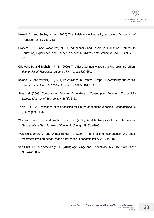

- Newell, A., and Socha, M. W. (2007) The Polish wage inequality explosion, Economics of Transition 15(4), 733–758.
- Orazem, P. F., and Vodopivec, M. (1995) Winners and Losers in Transition: Returns to Education, Experience, and Gender in Slovenia, *World Bank Economic Review* 9(2), 201- 30.
- Orlowski, R. and Riphahn, R. T. (2009) The East German wage structure after transition. *Economics of Transition*. Volume 17(4), pages 629-659.
- Roland, G., and Verdier, T. (1994) Privatization in Eastern Europe: Irreversibility and critical mass effects, *Journal of Public Economics* 54(2), 161-183.
- Senaj, M. (2008) Consumption Function Estimate and Consumption Forecast. *Ekonomicky casopis (Journal of Economics),* 56(1), 3-21.
- Tobin, J. (1958) Estimation of relationships for limited dependent variables. *Econometrica* 26 (1), pages: 24–36.
- Weichselbaumer, D. and Winter-Ebmer, R. (2005) A Meta-Analysis of the International Gender Wage Gap. *Journal of Economic Surveys* 19(3), 479-511.
- Weichselbaumer, D. and Winter-Ebmer, R. (2007) The effects of competition and equal treatment laws on gender wage differentials. Economic Policy 22, 235-287.
- Van Ours, J.C. and Stoeldraijer, L. (2010) Age, Wage and Productivity. IZA Discussion Paper No. 4765. Bonn.